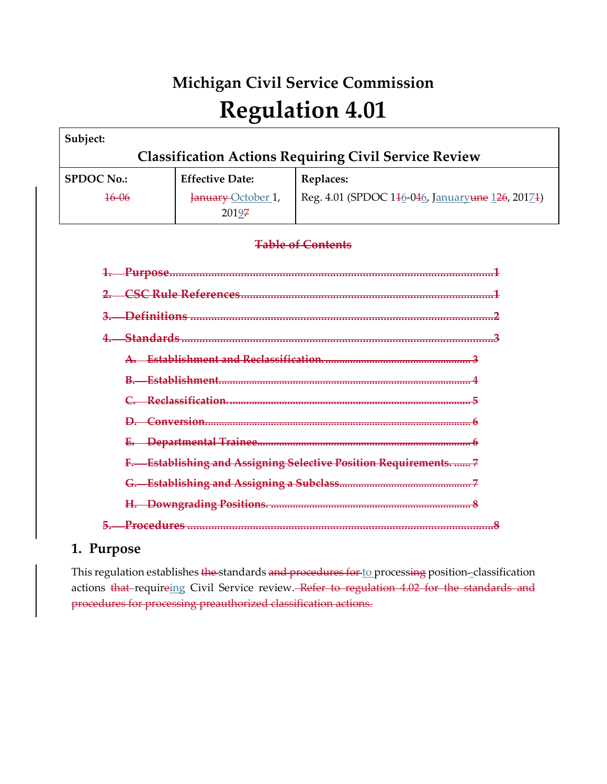# **Michigan Civil Service Commission Regulation 4.01**

| Subject:                                                           |                             |                                                  |  |  |  |
|--------------------------------------------------------------------|-----------------------------|--------------------------------------------------|--|--|--|
| <b>Classification Actions Requiring Civil Service Review</b>       |                             |                                                  |  |  |  |
| <b>SPDOC No.:</b>                                                  | <b>Effective Date:</b>      | Replaces:                                        |  |  |  |
| $16 - 06$                                                          | January-October 1,<br>20197 | Reg. 4.01 (SPDOC 146-046, Januaryune 126, 20174) |  |  |  |
|                                                                    | <b>Table of Contents</b>    |                                                  |  |  |  |
|                                                                    |                             |                                                  |  |  |  |
|                                                                    |                             |                                                  |  |  |  |
| $\overline{3}$ .                                                   |                             |                                                  |  |  |  |
|                                                                    |                             |                                                  |  |  |  |
|                                                                    |                             |                                                  |  |  |  |
|                                                                    |                             |                                                  |  |  |  |
|                                                                    |                             |                                                  |  |  |  |
|                                                                    |                             |                                                  |  |  |  |
|                                                                    |                             |                                                  |  |  |  |
| <b>Establishing and Assigning Selective Position Requirements7</b> |                             |                                                  |  |  |  |
|                                                                    |                             |                                                  |  |  |  |
|                                                                    |                             |                                                  |  |  |  |
|                                                                    |                             |                                                  |  |  |  |

# **1. Purpose**

This regulation establishes the standards and procedures for to processing position-classification actions that-requireing Civil Service review. Refer to regulation 4.02 for the standards and procedures for processing preauthorized classification actions.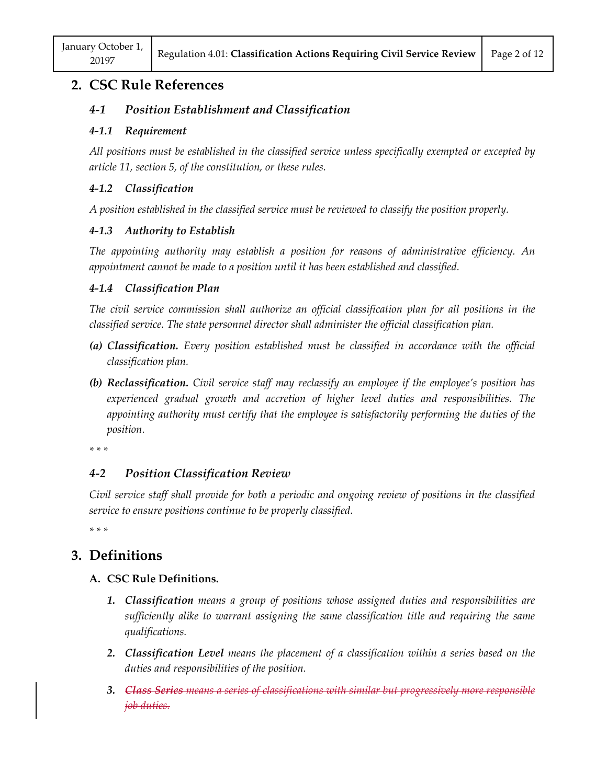# **2. CSC Rule References**

## *4-1 Position Establishment and Classification*

#### *4-1.1 Requirement*

*All positions must be established in the classified service unless specifically exempted or excepted by article 11, section 5, of the constitution, or these rules.*

#### *4-1.2 Classification*

*A position established in the classified service must be reviewed to classify the position properly.*

#### *4-1.3 Authority to Establish*

*The appointing authority may establish a position for reasons of administrative efficiency. An appointment cannot be made to a position until it has been established and classified.*

#### *4-1.4 Classification Plan*

*The civil service commission shall authorize an official classification plan for all positions in the classified service. The state personnel director shall administer the official classification plan.*

- *(a) Classification. Every position established must be classified in accordance with the official classification plan.*
- *(b) Reclassification. Civil service staff may reclassify an employee if the employee's position has experienced gradual growth and accretion of higher level duties and responsibilities. The appointing authority must certify that the employee is satisfactorily performing the duties of the position.*

*\* \* \** 

# *4-2 Position Classification Review*

*Civil service staff shall provide for both a periodic and ongoing review of positions in the classified service to ensure positions continue to be properly classified.*

*\* \* \** 

# **3. Definitions**

## **A. CSC Rule Definitions.**

- *1. Classification means a group of positions whose assigned duties and responsibilities are sufficiently alike to warrant assigning the same classification title and requiring the same qualifications.*
- *2. Classification Level means the placement of a classification within a series based on the duties and responsibilities of the position.*
- *3. Class Series means a series of classifications with similar but progressively more responsible job duties.*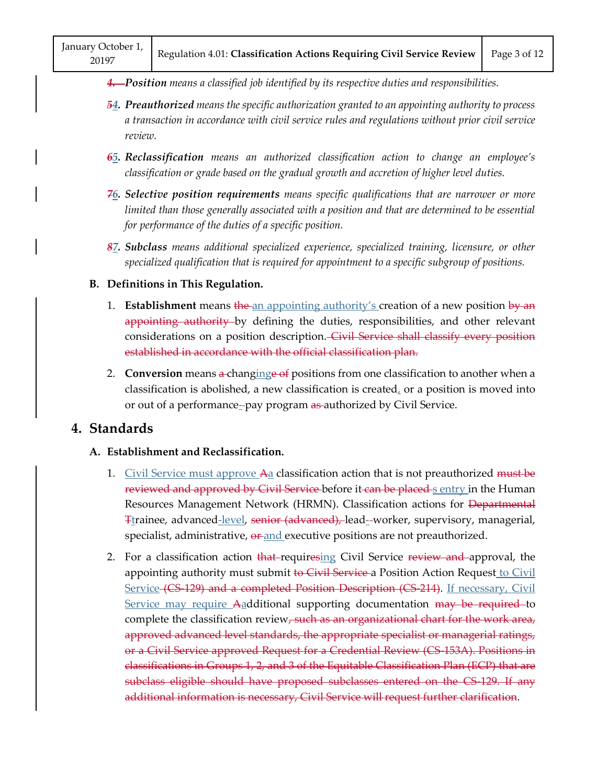*4. Position means a classified job identified by its respective duties and responsibilities.*

- *54. Preauthorized means the specific authorization granted to an appointing authority to process a transaction in accordance with civil service rules and regulations without prior civil service review.*
- *65. Reclassification means an authorized classification action to change an employee's classification or grade based on the gradual growth and accretion of higher level duties.*
- *76. Selective position requirements means specific qualifications that are narrower or more limited than those generally associated with a position and that are determined to be essential for performance of the duties of a specific position.*
- *87. Subclass means additional specialized experience, specialized training, licensure, or other specialized qualification that is required for appointment to a specific subgroup of positions.*

#### **B. Definitions in This Regulation.**

- 1. **Establishment** means the an appointing authority's creation of a new position by an appointing authority by defining the duties, responsibilities, and other relevant considerations on a position description. Civil Service shall classify every position established in accordance with the official classification plan.
- 2. **Conversion** means a-changinge of positions from one classification to another when a classification is abolished, a new classification is created, or a position is moved into or out of a performance--pay program as authorized by Civil Service.

# **4. Standards**

#### **A. Establishment and Reclassification.**

- 1. Civil Service must approve A<sub>d</sub> classification action that is not preauthorized <del>must be</del> reviewed and approved by Civil Service before it can be placed s entry in the Human Resources Management Network (HRMN). Classification actions for Departmental Ttrainee, advanced-level, senior (advanced), lead- worker, supervisory, managerial, specialist, administrative,  $\theta$  and executive positions are not preauthorized. classification is abolished, a<br>or out of a performance<sub>-</sub>-pay<br>**lards**<br>ablishment and Reclassifica<br><u>Civil Service must approve</u> <sub>r</sub><br>reviewed and approved by C<br>Resources Management Net ication.<br>
<u>re Aa</u> classification action<br>
<del>y Civil Service b</del>efore it <del>ca</del><br>
Network (HRMN). Classi<br>
senior (advanced), lead-<br>
or and executive position
- 2. For a classification action that requiresing Civil Service review and approval, the appointing authority must submit to Civil Service a Position Action Request to Civil Service (CS-129) and a completed Position Description (CS-214). If necessary, Civil Service may require Aadditional supporting documentation may be required to complete the classification review<del>, such as an organizational chart for the work area,</del> approved advanced level standards, the appropriate specialist or managerial ratings, or a Civil Service approved Request for a Credential Review (CS-153A). Positions in classifications in Groups 1, 2, and 3 of the Equitable Classification Plan (ECP) that are subclass eligible should have proposed subclasses entered on the CS-129. If any additional information is necessary, Civil Service will request further clarification. reviewed and approved<br>Resources Managemen<br>Thrainee, advanced-lev<br>specialist, administrativ<br>For a classification act<br>appointing authority m<br>Service (CS 129) and a<br>Service may require 4<br>complete the classificat<br>approved adva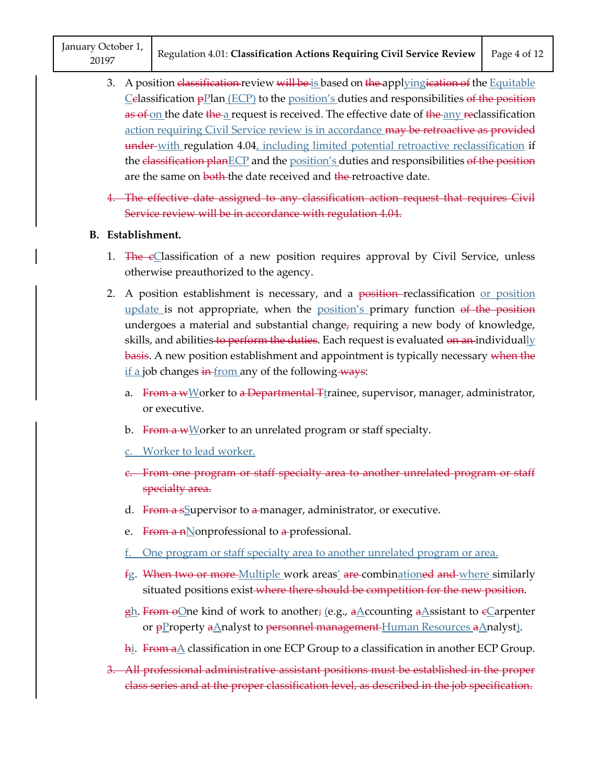January October 1, 20197

- 3. A position classification review will be is based on the applying ication of the Equitable  $C$ elassification  $p$ Plan (ECP) to the position's duties and responsibilities of the position as of on the date the a request is received. The effective date of the any reclassification action requiring Civil Service review is in accordance may be retroactive as provided under-with regulation 4.04, including limited potential retroactive reclassification if the classification planECP and the position's duties and responsibilities of the position are the same on both the date received and the retroactive date.
- 4. The effective date assigned to any classification action request that requires Civil Service review will be in accordance with regulation 4.04.

#### **B. Establishment.**

- 1. The eClassification of a new position requires approval by Civil Service, unless otherwise preauthorized to the agency.
- 2. A position establishment is necessary, and a position-reclassification or position update is not appropriate, when the position's primary function of the position undergoes a material and substantial change, requiring a new body of knowledge, skills, and abilities <del>to perform the duties</del>. Each request is evaluated <del>on an i</del>ndividually basis. A new position establishment and appointment is typically necessary when the <u>if a</u> job changes  $\frac{1}{2}$  in from any of the following ways:
	- a. From a wWorker to a Departmental Tirainee, supervisor, manager, administrator, or executive.
	- b. From a  $w$ Worker to an unrelated program or staff specialty.
	- c. Worker to lead worker.
	- c. From one program or staff specialty area to another unrelated program or staff specialty area.
	- d. From a ssupervisor to a manager, administrator, or executive.
	- e. From a nNonprofessional to a-professional.
	- f. One program or staff specialty area to another unrelated program or area.
	- fg. <del>When two or more Multiple w</del>ork areas<u>'</u> <del>are c</del>ombin<u>ation</u>e<del>d and where s</del>imilarly situated positions exist where there should be competition for the new position. d. From a sSupervisor to a-manager, administrator, or executive.<br>
	e. From a nNonprofessional to a-professional.<br>
	<u>f. One program or staff specialty area to another unrelated program</u><br>
	fg. When two or more Multiple work are  $\frac{1}{2}$ <br>fg. When to<br>situated<br>gh. From  $\frac{1}{2}$ <br>or  $\frac{1}{2}$
	- <u>gh</u>. From oQne kind of work to another; (e.g., aAccounting aAssistant to eCarpenter or <del>p</del>Property <del>a</del>Analyst to <del>personnel management <u>Human Resources aA</u>nalyst).</del>  $\frac{gh}{dr}$ . From  $\frac{h}{dr}$ <br>or  $\frac{h}{dr}$ . From a
	- h<u>i</u>. From aA classification in one ECP Group to a classification in another ECP Group.
- 3. All professional administrative assistant positions must be established in the proper class series and at the proper classification level, as described in the job specification.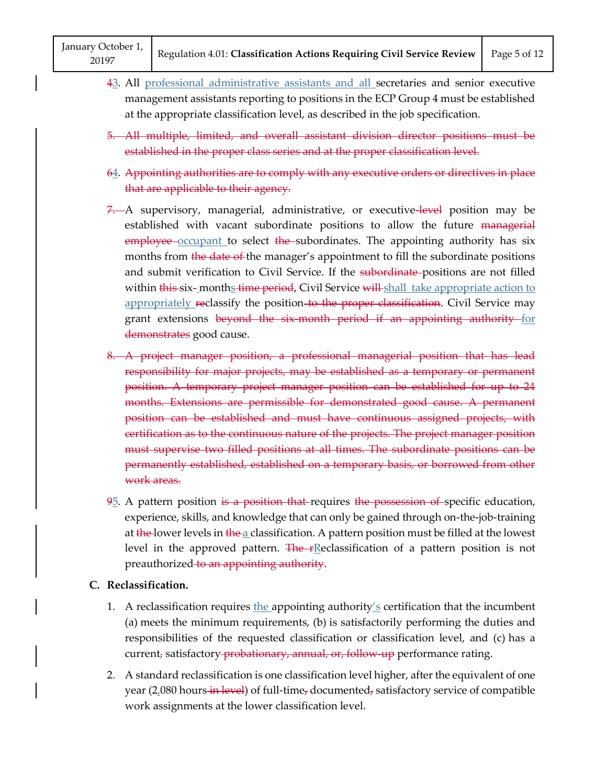- 43. All professional administrative assistants and all secretaries and senior executive management assistants reporting to positions in the ECP Group 4 must be established at the appropriate classification level, as described in the job specification. 43. All professional administrative assistants and all secretaries and senior executive management assistants reporting to positions in the ECP Group 4 must be established at the appropriate classification level, as descri
- 5. All multiple, limited, and overall assistant division director positions must be established in the proper class series and at the proper classification level.
- 64. Appointing authorities are to comply with any executive orders or directives in place that are applicable to their agency.
- 7. A supervisory, managerial, administrative, or executive-level position may be established with vacant subordinate positions to allow the future managerial employee occupant to select the subordinates. The appointing authority has six months from the date of the manager's appointment to fill the subordinate positions and submit verification to Civil Service. If the subordinate-positions are not filled within <del>this s</del>ix-\_month<u>s</u>-time period, Civil Service <del>will s</del>hall take appropriate action to appropriately reclassify the position-to the proper classification. Civil Service may grant extensions beyond the six-month period if an appointing authority for demonstrates good cause.
- 8. A project manager position, a professional managerial position that has lead responsibility for major projects, may be established as a temporary or permanent position. A temporary project manager position can be established for up to 24 months. Extensions are permissible for demonstrated good cause. A permanent position can be established and must have continuous assigned projects, with certification as to the continuous nature of the projects. The project manager position must supervise two filled positions at all times. The subordinate positions can be permanently established, established on a temporary basis, or borrowed from other work areas.
- 95. A pattern position is a position that requires the possession of specific education, experience, skills, and knowledge that can only be gained through on-the-job-training at the lower levels in the a classification. A pattern position must be filled at the lowest level in the approved pattern. The  $r$ Reclassification of a pattern position is not preauthorized to an appointing authority.

#### **C. Reclassification.**

- 1. A reclassification requires the appointing authority's certification that the incumbent (a) meets the minimum requirements, (b) is satisfactorily performing the duties and responsibilities of the requested classification or classification level, and (c) has a current, satisfactory-probationary, annual, or, follow-up performance rating.
- 2. A standard reclassification is one classification level higher, after the equivalent of one year (2,080 hours in level) of full-time, documented, satisfactory service of compatible work assignments at the lower classification level.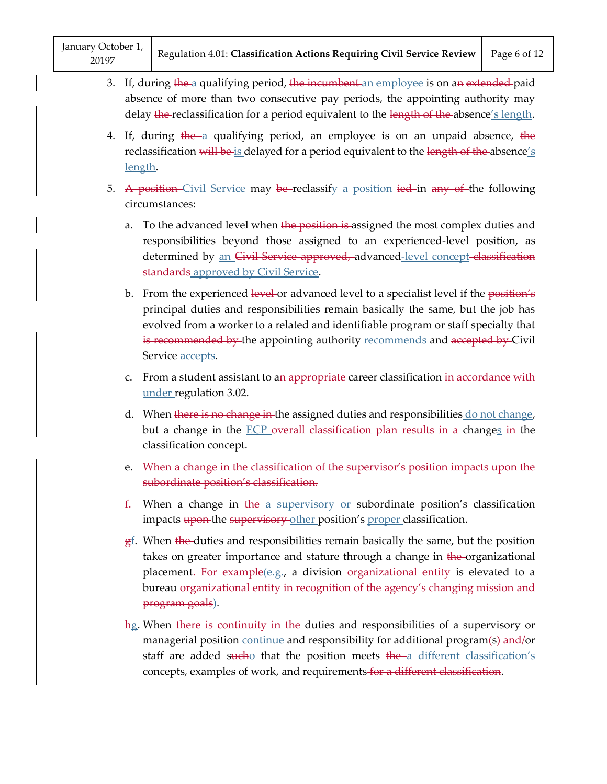- 3. If, during the a qualifying period, the incumbent an employee is on an extended paid absence of more than two consecutive pay periods, the appointing authority may delay the reclassification for a period equivalent to the length of the absence's length.
- 4. If, during  $\frac{1}{2}$  the a qualifying period, an employee is on an unpaid absence, the reclassification will be is delayed for a period equivalent to the length of the absence's length.
- 5. A position Civil Service may be reclassify a position ied in any of the following circumstances:
	- a. To the advanced level when the position is assigned the most complex duties and responsibilities beyond those assigned to an experienced-level position, as determined by an Civil Service approved, advanced-level concept classification standards approved by Civil Service.
	- b. From the experienced level or advanced level to a specialist level if the position's principal duties and responsibilities remain basically the same, but the job has evolved from a worker to a related and identifiable program or staff specialty that is recommended by the appointing authority recommends and accepted by Civil Service accepts.
	- c. From a student assistant to an appropriate career classification in accordance with under regulation 3.02.
	- d. When there is no change in the assigned duties and responsibilities do not change, but a change in the  $ECP$  overall classification plan results in a changes in the classification concept.
	- e. When a change in the classification of the supervisor's position impacts upon the subordinate position's classification.
	- $f$ . When a change in the a supervisory or subordinate position's classification impacts upon the supervisory other position's proper classification.
	- $g<sub>1</sub>$ . When the duties and responsibilities remain basically the same, but the position takes on greater importance and stature through a change in the organizational placement. For example(e.g., a division organizational entity is elevated to a bureau organizational entity in recognition of the agency's changing mission and program goals).
	- hg. When there is continuity in the duties and responsibilities of a supervisory or managerial position continue and responsibility for additional program(s) and/or staff are added sucho that the position meets  $\frac{f}{f}$  the a different classification's concepts, examples of work, and requirements for a different classification.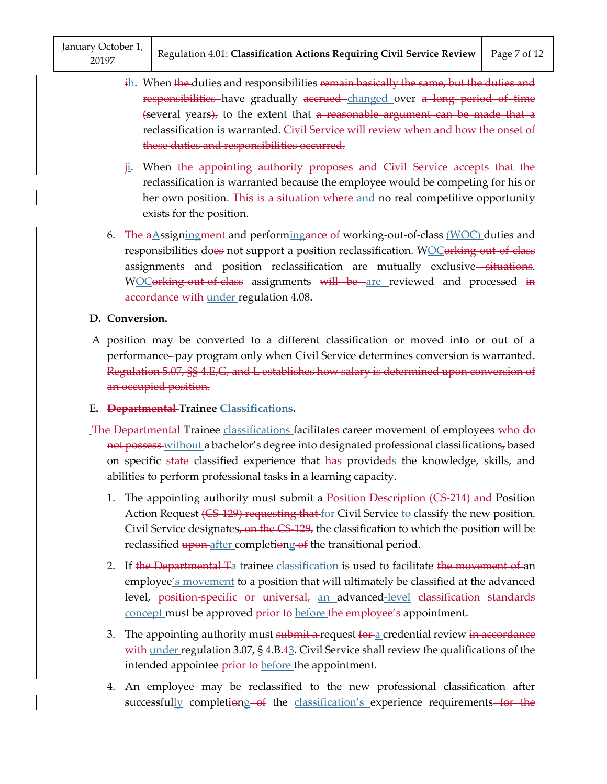- $\frac{i}{i}$ . When the duties and responsibilities remain basically the same, but the duties and responsibilities have gradually accrued changed over a long period of time  ${s$  (several years), to the extent that a reasonable argument can be made that a reclassification is warranted. Civil Service will review when and how the onset of these duties and responsibilities occurred.
- ji. When the appointing authority proposes and Civil Service accepts that the reclassification is warranted because the employee would be competing for his or her own position. This is a situation where and no real competitive opportunity exists for the position.
- 6. The aAssigningment and performingance of working-out-of-class (WOC) duties and responsibilities does not support a position reclassification. WOCorking out of class assignments and position reclassification are mutually exclusive-situations. WOCorking-out-of-class assignments will be are reviewed and processed in accordance with under regulation 4.08.

#### **D. Conversion.**

A position may be converted to a different classification or moved into or out of a performance -pay program only when Civil Service determines conversion is warranted. Regulation 5.07, §§ 4.E,G, and L establishes how salary is determined upon conversion of an occupied position.

#### **E. Departmental Trainee Classifications.**

- The Departmental Trainee classifications facilitates career movement of employees who do not possess without a bachelor's degree into designated professional classifications, based on specific state classified experience that has provideds the knowledge, skills, and abilities to perform professional tasks in a learning capacity.
	- 1. The appointing authority must submit a Position Description (CS 214) and Position Action Request (CS-129) requesting that for Civil Service to classify the new position. Civil Service designates, on the  $CS-129$ , the classification to which the position will be reclassified upon after completiong of the transitional period.
	- 2. If the Departmental Ta trainee classification is used to facilitate the movement of an employee's movement to a position that will ultimately be classified at the advanced level, position-specific or universal, an advanced-level classification standards concept must be approved prior to before the employee's appointment.
	- 3. The appointing authority must submit a request for a credential review in accordance with under regulation 3.07, § 4.B.43. Civil Service shall review the qualifications of the intended appointee **prior to** before the appointment.
	- 4. An employee may be reclassified to the new professional classification after successfully completiong of the classification's experience requirements for the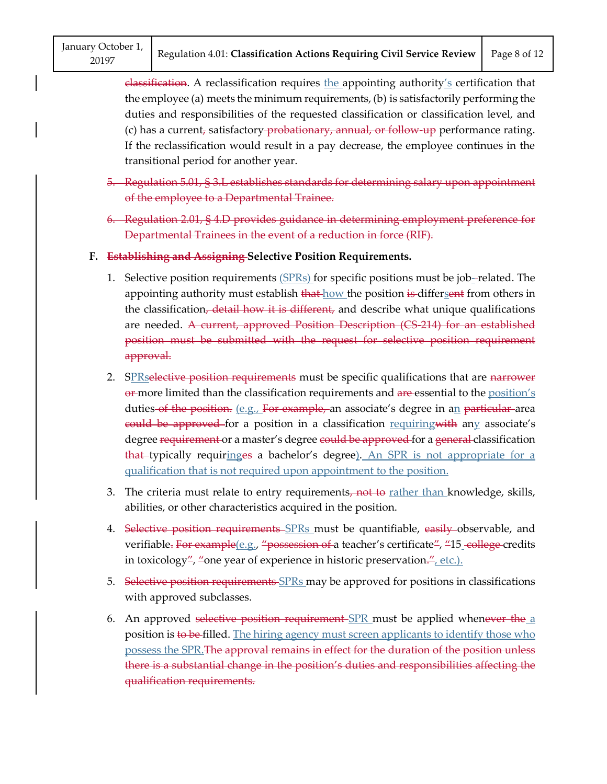$e$ lassification. A reclassification requires the appointing authority's certification that the employee (a) meets the minimum requirements, (b) is satisfactorily performing the duties and responsibilities of the requested classification or classification level, and (c) has a current, satisfactory-probationary, annual, or follow-up performance rating. If the reclassification would result in a pay decrease, the employee continues in the transitional period for another year.

- 5. Regulation 5.01, § 3.L establishes standards for determining salary upon appointment of the employee to a Departmental Trainee.
- 6. Regulation 2.01, § 4.D provides guidance in determining employment preference for Departmental Trainees in the event of a reduction in force (RIF).
- **F. Establishing and Assigning Selective Position Requirements.**
	- 1. Selective position requirements  $(SPRs)$  for specific positions must be job-related. The appointing authority must establish that how the position is differsent from others in the classification, detail how it is different, and describe what unique qualifications are needed. A current, approved Position Description (CS 214) for an established position must be submitted with the request for selective position requirement approval.
	- 2. SPRselective position requirements must be specific qualifications that are narrower  $\theta$  more limited than the classification requirements and are essential to the position's duties of the position.  $(e.g.,$  For example, an associate's degree in an particular area eould be approved for a position in a classification requiring with any associate's degree requirement or a master's degree could be approved for a general classification that typically requiringes a bachelor's degree). An SPR is not appropriate for a qualification that is not required upon appointment to the position.
	- 3. The criteria must relate to entry requirements, not to rather than knowledge, skills, abilities, or other characteristics acquired in the position.
	- 4. Selective position requirements SPRs must be quantifiable, easily observable, and verifiable. For example(e.g., "possession of a teacher's certificate", "15 college credits in toxicology<sup>"</sup>, "one year of experience in historic preservation.", etc.).
	- 5. Selective position requirements SPRs may be approved for positions in classifications with approved subclasses.
	- 6. An approved selective position requirement  $SPR$  must be applied whenever the a position is to be filled. The hiring agency must screen applicants to identify those who possess the SPR.The approval remains in effect for the duration of the position unless there is a substantial change in the position's duties and responsibilities affecting the qualification requirements.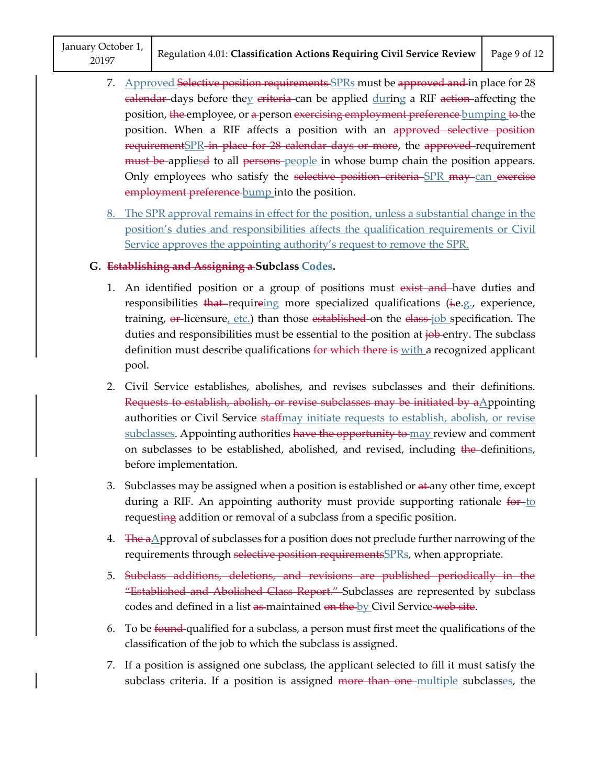January October 1, 20197

- 7. Approved Selective position requirements SPRs must be approved and in place for 28 <del>calendar</del>-days before the<u>y</u> <del>criteria</del>-can be applied <u>dur</u>ing a RIF <del>action-</del>affecting the position, <del>the </del>employee, or <del>a </del>person <del>exercising employment preference <code>bumping</code> to the  $\cdot$ </del> position. When a RIF affects a position with an approved selective position requirement SPR in place for 28 calendar days or more, the approved requirement must be-appliesd to all persons people in whose bump chain the position appears. Only employees who satisfy the <del>selective position criteria SPR may can exercise</del> employment preference bump into the position.
- 8. The SPR approval remains in effect for the position, unless a substantial change in the position's duties and responsibilities affects the qualification requirements or Civil Service approves the appointing authority's request to remove the SPR.

#### **G. Establishing and Assigning a Subclass Codes.**

- 1. An identified position or a group of positions must exist and have duties and responsibilities that requireing more specialized qualifications (ie.g., experience, training,  $\Theta$  licensure, etc.) than those established on the class-job specification. The duties and responsibilities must be essential to the position at job-entry. The subclass definition must describe qualifications for which there is with a recognized applicant pool.
- 2. Civil Service establishes, abolishes, and revises subclasses and their definitions. Requests to establish, abolish, or revise subclasses may be initiated by  $a\Delta p$  pointing authorities or Civil Service staffmay initiate requests to establish, abolish, or revise subclasses. Appointing authorities have the opportunity to may review and comment on subclasses to be established, abolished, and revised, including the definitions, before implementation.
- 3. Subclasses may be assigned when a position is established or  $a\text{+}$  any other time, except during a RIF. An appointing authority must provide supporting rationale  $\frac{6p}{10}$ requesting addition or removal of a subclass from a specific position.
- 4. The aApproval of subclasses for a position does not preclude further narrowing of the requirements through selective position requirements SPRs, when appropriate.
- 5. Subclass additions, deletions, and revisions are published periodically in the "Established and Abolished Class Report." Subclasses are represented by subclass codes and defined in a list as maintained on the by Civil Service web site.
- 6. To be found qualified for a subclass, a person must first meet the qualifications of the classification of the job to which the subclass is assigned.
- 7. If a position is assigned one subclass, the applicant selected to fill it must satisfy the subclass criteria. If a position is assigned <del>more than one multiple</del> subclasses, the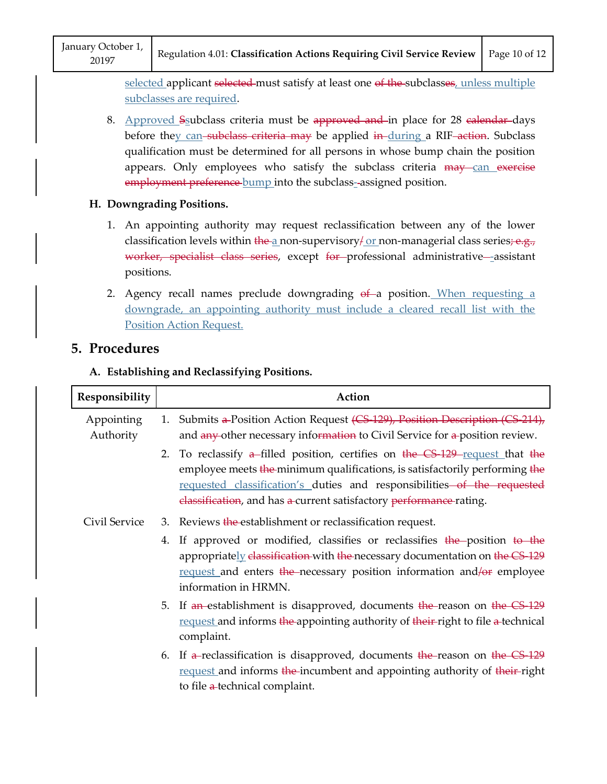selected applicant selected-must satisfy at least one of the subclasses, unless multiple subclasses are required.

- 8. Approved Saubclass criteria must be approved and in place for 28 calendar days before they can-subclass criteria may be applied in-during a RIF-action. Subclass qualification must be determined for all persons in whose bump chain the position appears. Only employees who satisfy the subclass criteria  $\frac{may}{can}$  exercise employment preference bump into the subclass-assigned position. er 1,<br>Regulation 4.01: **Classification Acti**<br>Selected applicant <del>selected m</del>ust satisfy<br>subclasses are required.<br>Approved Ssubclass criteria must be<br>before they can-subclass criteria may<br>qualification must be determined fo
- **H. Downgrading Positions.**
	- 1. An appointing authority may request reclassification between any of the lower classification levels within the a non-supervisory for non-managerial class series;  $e.g.,$ worker, specialist class series, except for professional administrative-assistant positions.
	- 2. Agency recall names preclude downgrading of a position. When requesting a downgrade, an appointing authority must include a cleared recall list with the Position Action Request.

# **5. Procedures**

## **A. Establishing and Reclassifying Positions.**

| Responsibility          | Action                                                                                                                                                                                                                                                                                                          |
|-------------------------|-----------------------------------------------------------------------------------------------------------------------------------------------------------------------------------------------------------------------------------------------------------------------------------------------------------------|
| Appointing<br>Authority | 1. Submits a-Position Action Request (CS 129), Position Description (CS 214),<br>and any-other necessary information to Civil Service for a-position review.                                                                                                                                                    |
|                         | 2. To reclassify $a$ -filled position, certifies on the CS 129-request that the<br>employee meets the minimum qualifications, is satisfactorily performing the<br>requested classification's duties and responsibilities of the requested<br>elassification, and has a-current satisfactory performance-rating. |
| Civil Service           | 3. Reviews the establishment or reclassification request.                                                                                                                                                                                                                                                       |
|                         | 4. If approved or modified, classifies or reclassifies the position to the<br>appropriately elassification with the necessary documentation on the CS-129<br>request and enters the necessary position information and/or employee<br>information in HRMN.                                                      |
|                         | 5. If an establishment is disapproved, documents the reason on the CS 129<br>request and informs the appointing authority of their-right to file a-technical<br>complaint.                                                                                                                                      |
|                         | 6. If a-reclassification is disapproved, documents the-reason on the CS 129<br>request and informs the incumbent and appointing authority of their-right<br>to file a-technical complaint.                                                                                                                      |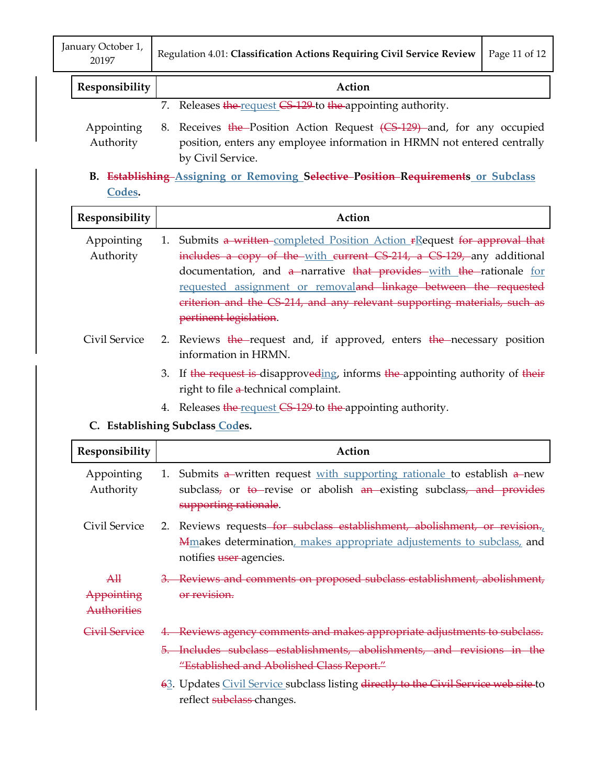| January October 1,<br>  Regulation 4.01: Classification Actions Requiring Civil Service Review   Page 11 of 12<br>20197 |
|-------------------------------------------------------------------------------------------------------------------------|
|-------------------------------------------------------------------------------------------------------------------------|

| Responsibility<br>Action |
|--------------------------|
|--------------------------|

7. Releases the request CS-129 to the appointing authority.

- Appointing Authority 8. Receives the Position Action Request (CS-129) and, for any occupied position, enters any employee information in HRMN not entered centrally by Civil Service.
- **B. Establishing Assigning or Removing Selective Position Requirements or Subclass Codes.**

| Responsibility            | Action                                                                    |
|---------------------------|---------------------------------------------------------------------------|
| Appointing                | 1. Submits a written completed Position Action FRequest for approval that |
| Authority                 | includes a copy of the with current CS 214, a CS 129, any additional      |
|                           | documentation, and a narrative that provides with the rationale for       |
|                           | requested assignment or removaland linkage between the requested          |
|                           | eriterion and the CS 214, and any relevant supporting materials, such as  |
|                           | pertinent legislation.                                                    |
| $C_{\text{tril}}$ Contiga | 2 Doviaus the request and if approved opters the personary position       |

- Civil Service 2. Reviews the request and, if approved, enters the necessary position information in HRMN.
	- 3. If the request is disapproveding, informs the appointing authority of their right to file a-technical complaint.
	- 4. Releases the request CS 129 to the appointing authority.

# **C. Establishing Subclass Codes.**

| Responsibility                                                  | Action                                                                                                                                                                                          |
|-----------------------------------------------------------------|-------------------------------------------------------------------------------------------------------------------------------------------------------------------------------------------------|
| Appointing<br>Authority                                         | 1. Submits $a$ -written request with supporting rationale to establish $a$ -new<br>subclass <sub>7</sub> or to revise or abolish $an$ -existing subclass, and provides<br>supporting rationale. |
| Civil Service                                                   | 2. Reviews requests for subclass establishment, abolishment, or revision.<br>Mmakes determination, makes appropriate adjustements to subclass, and<br>notifies user-agencies.                   |
| $\mathbf{A} \mathbf{H}$<br>Appointing<br><del>Authorities</del> | Reviews and comments on proposed subclass establishment, abolishment,<br>or revision.                                                                                                           |
| <del>Civil Service</del>                                        | 4. Reviews agency comments and makes appropriate adjustments to subclass.                                                                                                                       |
|                                                                 | Includes subclass establishments, abolishments, and revisions in the<br>"Established and Abolished Class Report."                                                                               |
|                                                                 | 63. Updates Civil Service subclass listing directly to the Civil Service web site to<br>reflect subclass-changes.                                                                               |